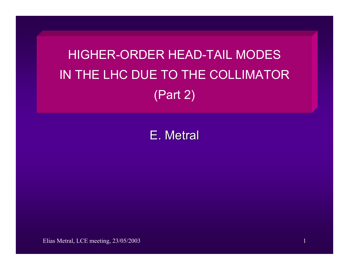HIGHER-ORDER HEAD-TAIL MODES IN THE LHC DUE TO THE COLLIMATOR (Part 2)

E. Metral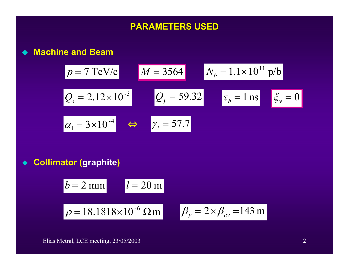### **PARAMETERS USED PARAMETERS USED**

**Machine and Beam**

$$
p = 7 \text{ TeV/c}
$$
  $M = 3564$   $N_b = 1.1 \times 10^{11} \text{ p/b}$   
\n $Q_s = 2.12 \times 10^{-3}$   $Q_y = 59.32$   $\tau_b = 1 \text{ ns}$   $\xi_y = 0$   
\n $\alpha_1 = 3 \times 10^{-4}$   $\Leftrightarrow$   $\gamma_t = 57.7$ 

◆ Collimator (graphite)

$$
b = 2 \text{ mm}
$$
  

$$
l = 20 \text{ m}
$$
  

$$
\rho = 18.1818 \times 10^{-6} \text{ }\Omega \text{ m}
$$
  

$$
\beta_y = 2 \times \beta_{av} = 143 \text{ m}
$$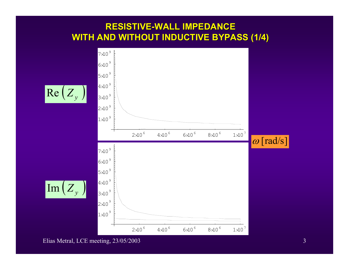### **RESISTIVE RESISTIVE-WALL IMPEDANCE PEDANCE WITH AND WITHOUT INDUCTIVE BYPASS (1/4)**



Elias Metral, LCE meeting, 23/05/2003 3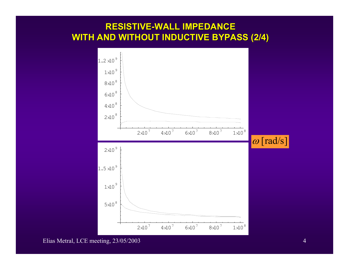### **RESISTIVE RESISTIVE-WALL IMPEDANCE PEDANCE WITH AND WITHOUT INDUCTIVE BYPASS (2/4)**

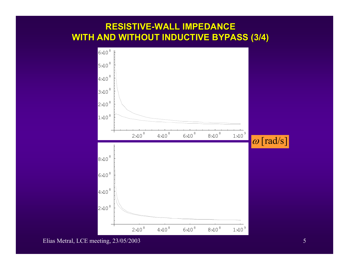### **RESISTIVE RESISTIVE-WALL IMPEDANCE PEDANCE WITH AND WITHOUT INDUCTIVE BYPASS (3/4)**



Elias Metral, LCE meeting, 23/05/2003 5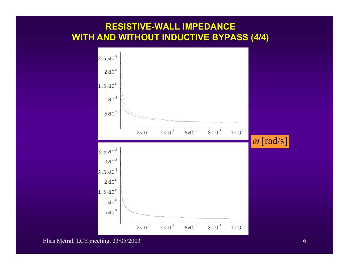### **RESISTIVE RESISTIVE-WALL IMPEDANCE PEDANCE WITH AND WITHOUT INDUCTIVE BYPASS (4/4)**

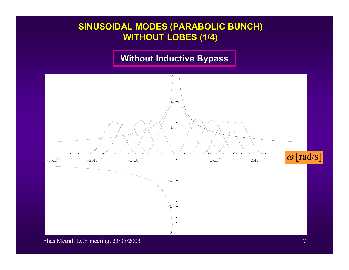### **SINUSOIDAL MODES (PARABOLIC BUNCH) WITHOUT LOBES (1/4)**

### **Without Inductive Bypass**

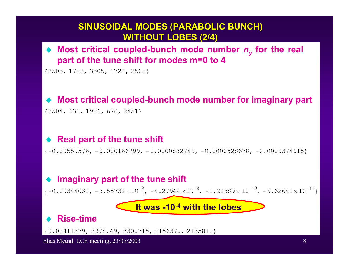### **SINUSOIDAL MODES (PARABOLIC BUNCH) WITHOUT LOBES (2/4)**

◆ Most critical coupled-bunch mode number  $n_y$  for the real **part of the tune shift for modes m=0 to 4** 

83505, 1723, 3505, 1723, 3505<

#### ♦ **Most critical coupled-bunch mode number for imaginary part**

83504, 631, 1986, 678, 2451<

#### ♦ **Real part of the tune shift**

 ${-0.00559576, -0.000166999, -0.0000832749, -0.0000528678, -0.0000374615}$ 

#### ♦ **Imaginary part of the tune shift**

 $\{-0.00344032, -3.55732 \times 10^{-9}, -4.27944 \times 10^{-8}, -1.22389 \times 10^{-10}, -6.62641 \times 10^{-11}\}$ 

**It was -10-4 with the lobes**

#### ♦ **Rise-time**

0.00411379, 3978.49, 330.715, 115637., 213581. 8 <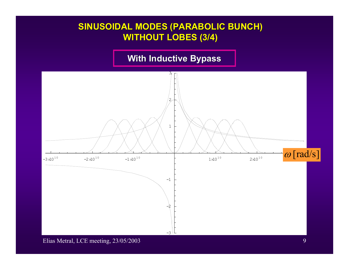### **SINUSOIDAL MODES (PARABOLIC BUNCH) WITHOUT LOBES (3/4)**

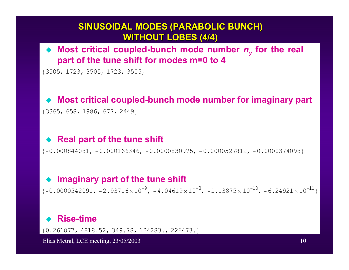### **SINUSOIDAL MODES (PARABOLIC BUNCH) WITHOUT LOBES (4 WITHOUT LOBES (4/4)**

### ◆ Most critical coupled-bunch mode number  $n_y$  for the real **part of the tune shift for modes m=0 to 4**

{3505, 1723, 3505, 1723, 3505}

#### ♦ **Most critical coupled-bunch mode number for imaginary part**

83365, 658, 1986, 677, 2449<

### ◆ Real part of the tune shift

8−0.000844081, <sup>−</sup>0.000166346, <sup>−</sup>0.0000830975, <sup>−</sup>0.0000527812, <sup>−</sup>0.0000374098<

#### ♦ **Imaginary part of the tune shift**

 $\{-0.0000542091, -2.93716 \times 10^{-9}, -4.04619 \times 10^{-8}, -1.13875 \times 10^{-10}, -6.24921 \times 10^{-11}\}$ 

#### ♦ **Rise-time**

0.261077, 4818.52, 349.78, 124283., 226473. 8 <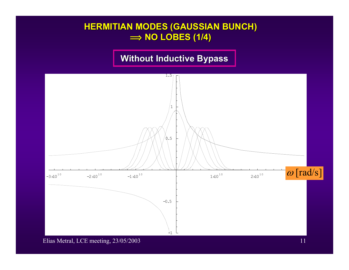### **HERMITIAN MODES (GAUSSIAN BUNCH) î NO LOBES (1/4) NO LOBES (1/4)**

## **Without Inductive Bypass**



Elias Metral, LCE meeting, 23/05/2003 11 and 2008 12:00 12:00 12:00 12:00 12:00 12:00 12:00 12:00 12:00 12:00 11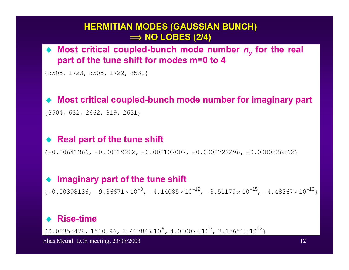### **HERMITIAN MODES (GAUSSIAN BUNCH) î NO LOBES (2/4) NO LOBES (2/4)**

### ◆ Most critical coupled-bunch mode number  $n_y$  for the real **part of the tune shift for modes m=0 to 4**

83505, 1723, 3505, 1722, 3531<

#### ♦ **Most critical coupled-bunch mode number for imaginary part**

83504, 632, 2662, 819, 2631<

#### ♦ **Real part of the tune shift**

 ${ -0.00641366, -0.00019262, -0.000107007, -0.0000722296, -0.0000536562 }$ 

#### ♦ **Imaginary part of the tune shift**

 $\{-0.00398136, -9.36671 \times 10^{-9}, -4.14085 \times 10^{-12}, -3.51179 \times 10^{-15}, -4.48367 \times 10^{-18}\}$ 

#### ♦ **Rise-time**

 $\{0.00355476, 1510.96, 3.41784\times10^6, 4.03007\times10^9, 3.15651\times10^{12}\}$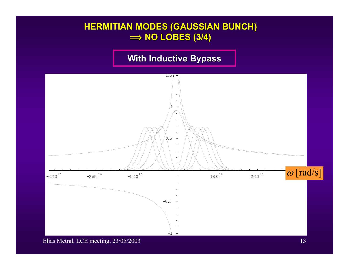### **HERMITIAN MODES (GAUSSIAN BUNCH) î NO LOBES (3/4) NO LOBES (3/4)**

## **With Inductive Bypass**

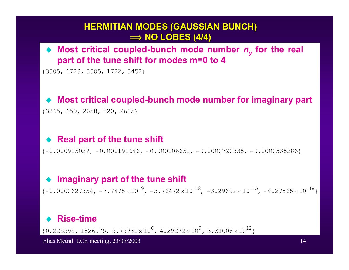### **HERMITIAN MODES (GAUSSIAN BUNCH) î NO LOBES (4/4) NO LOBES (4/4)**

### ◆ Most critical coupled-bunch mode number  $n_y$  for the real **part of the tune shift for modes m=0 to 4**

83505, 1723, 3505, 1722, 3452<

#### ♦ **Most critical coupled-bunch mode number for imaginary part**

83365, 659, 2658, 820, 2615<

### ◆ Real part of the tune shift

8−0.000915029, <sup>−</sup>0.000191646, <sup>−</sup>0.000106651, <sup>−</sup>0.0000720335, <sup>−</sup>0.0000535286<

#### ♦ **Imaginary part of the tune shift**

 $\{-0.0000627354, -7.7475 \times 10^{-9}, -3.76472 \times 10^{-12}, -3.29692 \times 10^{-15}, -4.27565 \times 10^{-18}\}$ 

#### ♦ **Rise-time**

 $\{0.225595, 1826.75, 3.75931 \times 10^6, 4.29272 \times 10^9, 3.31008 \times 10^{12}\}\$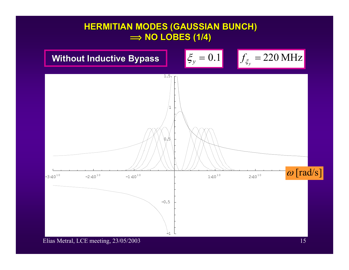### **HERMITIAN MODES (GAUSSIAN BUNCH) î NO LOBES (1/4) NO LOBES (1/4)**

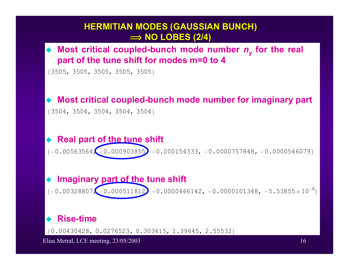### **HERMITIAN MODES (GAUSSIAN BUNCH) î NO LOBES (2/4) NO LOBES (2/4)**

◆ Most critical coupled-bunch mode number  $n_y$  for the real **part of the tune shift for modes m=0 to 4** 

83505, 3505, 3505, 3505, 3505<

### ◆ Most critical coupled-bunch mode number for imaginary part

83504, 3504, 3504, 3504, 3504<

### ◆ Real part of the tune shift

 $\{-0.00563564, -0.000903855\} -0.000154333, -0.0000757848, -0.0000546079\}$ 

### ◆ Imaginary part of the tune shift

 $\{-0.00328807, \left\{-0.000511812\right\} -0.0000466142, -0.0000101348, -5.53855\times10^{-6}\}$ 

### ◆ Rise-time

0.00430428, 0.0276523, 0.303615, 1.39645, 2.55532 8 <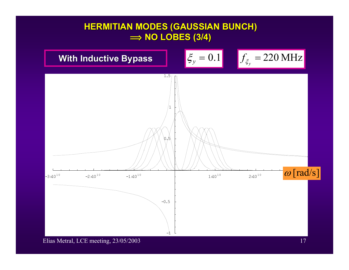### **HERMITIAN MODES (GAUSSIAN BUNCH) î NO LOBES (3/4) NO LOBES (3/4)**

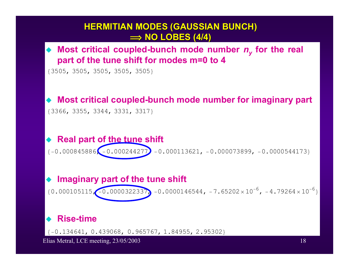# **HERMITIAN MODES (GAUSSIAN BUNCH) î NO LOBES (4/4) NO LOBES (4/4)** 83505, 3505, 3505, 3505, 3505< 83366, 3355, 3344, 3331, 3317<  ${1-0.000845886}$ ,  $-0.000244277$ ,  $-0.000113621$ ,  $-0.000073899$ ,  $-0.0000544173$  ${0.000105115}$   ${-0.0000322337}$  -0.0000146544, -7.65202×10<sup>-6</sup>, -4.79264×10<sup>-6</sup>} <sup>−</sup>0.134641, 0.439068, 0.965767, 1.84955, 2.95302 8 <◆ Most critical coupled-bunch mode number  $n_y$  for the real **part of the tune shift for modes m=0 to 4**  ◆ Most critical coupled-bunch mode number for imaginary part ◆ Real part of <u>the tune</u> shift ◆ Imaginary part of the tune shift ◆ Rise-time